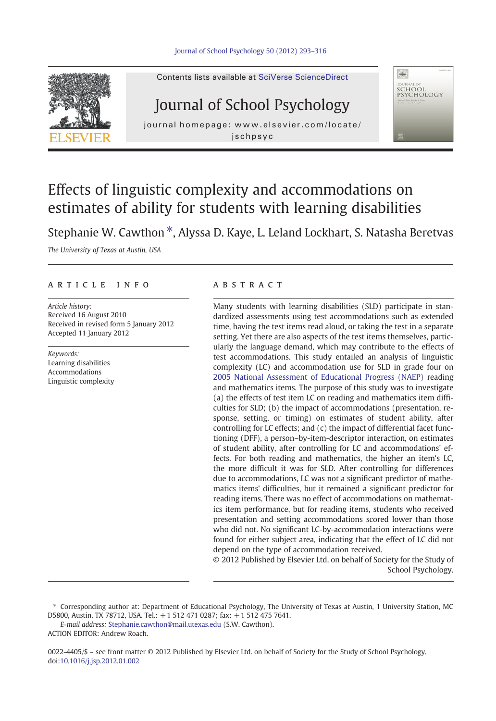

#### Contents lists available at SciVerse ScienceDirect

# Journal of School Psychology

journal homepage: www.elsevier.com/locate/ jschpsyc



## Effects of linguistic complexity and accommodations on estimates of ability for students with learning disabilities

Stephanie W. Cawthon  $*$ , Alyssa D. Kaye, L. Leland Lockhart, S. Natasha Beretvas

The University of Texas at Austin, USA

#### article info abstract

Article history: Received 16 August 2010 Received in revised form 5 January 2012 Accepted 11 January 2012

Keywords: Learning disabilities Accommodations Linguistic complexity

Many students with learning disabilities (SLD) participate in standardized assessments using test accommodations such as extended time, having the test items read aloud, or taking the test in a separate setting. Yet there are also aspects of the test items themselves, particularly the language demand, which may contribute to the effects of test accommodations. This study entailed an analysis of linguistic complexity (LC) and accommodation use for SLD in grade four on [2005 National Assessment of Educational Progress \(NAEP\)](http://nces.ed.gov/nationsreportcard/about/naeptools.asp) reading and mathematics items. The purpose of this study was to investigate (a) the effects of test item LC on reading and mathematics item difficulties for SLD; (b) the impact of accommodations (presentation, response, setting, or timing) on estimates of student ability, after controlling for LC effects; and (c) the impact of differential facet functioning (DFF), a person–by-item-descriptor interaction, on estimates of student ability, after controlling for LC and accommodations' effects. For both reading and mathematics, the higher an item's LC, the more difficult it was for SLD. After controlling for differences due to accommodations, LC was not a significant predictor of mathematics items' difficulties, but it remained a significant predictor for reading items. There was no effect of accommodations on mathematics item performance, but for reading items, students who received presentation and setting accommodations scored lower than those who did not. No significant LC-by-accommodation interactions were found for either subject area, indicating that the effect of LC did not depend on the type of accommodation received.

© 2012 Published by Elsevier Ltd. on behalf of Society for the Study of School Psychology.

E-mail address: [Stephanie.cawthon@mail.utexas.edu](mailto:Stephanie.cawthon@mail.utexas.edu) (S.W. Cawthon).

ACTION EDITOR: Andrew Roach.

0022-4405/\$ – see front matter © 2012 Published by Elsevier Ltd. on behalf of Society for the Study of School Psychology. doi:[10.1016/j.jsp.2012.01.002](http://dx.doi.org/10.1016/j.jsp.2012.01.002)

<sup>⁎</sup> Corresponding author at: Department of Educational Psychology, The University of Texas at Austin, 1 University Station, MC D5800, Austin, TX 78712, USA. Tel.: +1 512 471 0287; fax: +1 512 475 7641.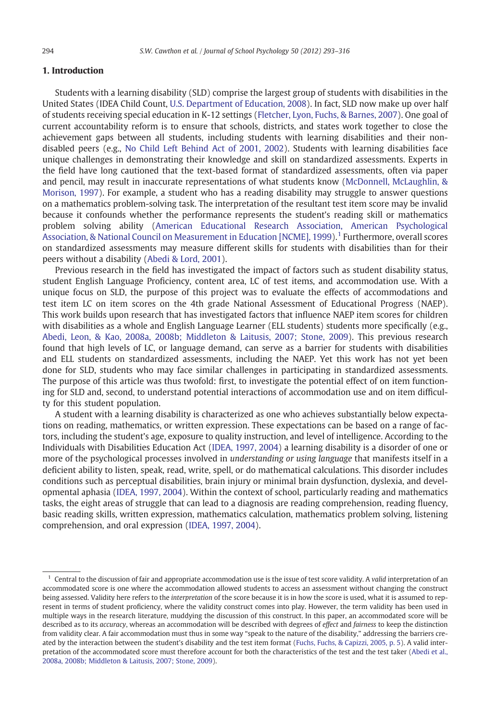### 1. Introduction

Students with a learning disability (SLD) comprise the largest group of students with disabilities in the United States (IDEA Child Count, [U.S. Department of Education, 2008](#page--1-0)). In fact, SLD now make up over half of students receiving special education in K-12 settings [\(Fletcher, Lyon, Fuchs, & Barnes, 2007](#page--1-0)). One goal of current accountability reform is to ensure that schools, districts, and states work together to close the achievement gaps between all students, including students with learning disabilities and their nondisabled peers (e.g., [No Child Left Behind Act of 2001, 2002\)](#page--1-0). Students with learning disabilities face unique challenges in demonstrating their knowledge and skill on standardized assessments. Experts in the field have long cautioned that the text-based format of standardized assessments, often via paper and pencil, may result in inaccurate representations of what students know [\(McDonnell, McLaughlin, &](#page--1-0) [Morison, 1997](#page--1-0)). For example, a student who has a reading disability may struggle to answer questions on a mathematics problem-solving task. The interpretation of the resultant test item score may be invalid because it confounds whether the performance represents the student's reading skill or mathematics problem solving ability ([American Educational Research Association, American Psychological](#page--1-0) [Association, & National Council on Measurement in Education \[NCME\], 1999](#page--1-0)).<sup>1</sup> Furthermore, overall scores on standardized assessments may measure different skills for students with disabilities than for their peers without a disability [\(Abedi & Lord, 2001](#page--1-0)).

Previous research in the field has investigated the impact of factors such as student disability status, student English Language Proficiency, content area, LC of test items, and accommodation use. With a unique focus on SLD, the purpose of this project was to evaluate the effects of accommodations and test item LC on item scores on the 4th grade National Assessment of Educational Progress (NAEP). This work builds upon research that has investigated factors that influence NAEP item scores for children with disabilities as a whole and English Language Learner (ELL students) students more specifically (e.g., [Abedi, Leon, & Kao, 2008a, 2008b; Middleton & Laitusis, 2007; Stone, 2009\)](#page--1-0). This previous research found that high levels of LC, or language demand, can serve as a barrier for students with disabilities and ELL students on standardized assessments, including the NAEP. Yet this work has not yet been done for SLD, students who may face similar challenges in participating in standardized assessments. The purpose of this article was thus twofold: first, to investigate the potential effect of on item functioning for SLD and, second, to understand potential interactions of accommodation use and on item difficulty for this student population.

A student with a learning disability is characterized as one who achieves substantially below expectations on reading, mathematics, or written expression. These expectations can be based on a range of factors, including the student's age, exposure to quality instruction, and level of intelligence. According to the Individuals with Disabilities Education Act [\(IDEA, 1997, 2004\)](#page--1-0) a learning disability is a disorder of one or more of the psychological processes involved in *understanding or using language* that manifests itself in a deficient ability to listen, speak, read, write, spell, or do mathematical calculations. This disorder includes conditions such as perceptual disabilities, brain injury or minimal brain dysfunction, dyslexia, and developmental aphasia ([IDEA, 1997, 2004\)](#page--1-0). Within the context of school, particularly reading and mathematics tasks, the eight areas of struggle that can lead to a diagnosis are reading comprehension, reading fluency, basic reading skills, written expression, mathematics calculation, mathematics problem solving, listening comprehension, and oral expression [\(IDEA, 1997, 2004\)](#page--1-0).

 $1$  Central to the discussion of fair and appropriate accommodation use is the issue of test score validity. A valid interpretation of an accommodated score is one where the accommodation allowed students to access an assessment without changing the construct being assessed. Validity here refers to the interpretation of the score because it is in how the score is used, what it is assumed to represent in terms of student proficiency, where the validity construct comes into play. However, the term validity has been used in multiple ways in the research literature, muddying the discussion of this construct. In this paper, an accommodated score will be described as to its accuracy, whereas an accommodation will be described with degrees of effect and fairness to keep the distinction from validity clear. A fair accommodation must thus in some way "speak to the nature of the disability," addressing the barriers created by the interaction between the student's disability and the test item format [\(Fuchs, Fuchs, & Capizzi, 2005, p. 5](#page--1-0)). A valid inter-pretation of the accommodated score must therefore account for both the characteristics of the test and the test taker ([Abedi et al.,](#page--1-0) [2008a, 2008b; Middleton & Laitusis, 2007; Stone, 2009\)](#page--1-0).